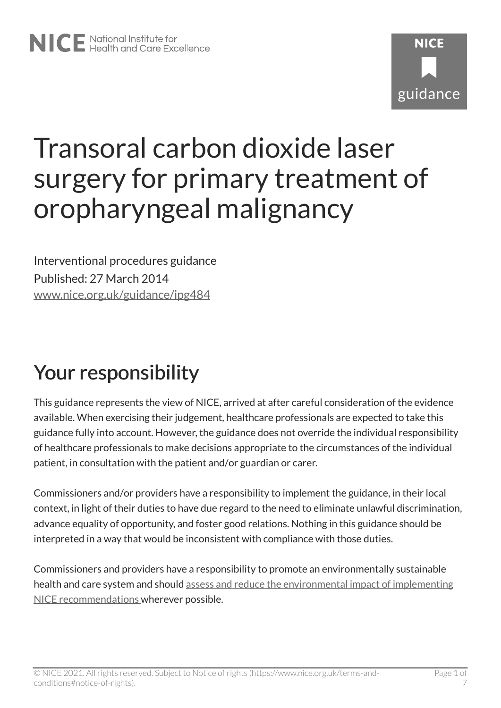# Transoral carbon dioxide laser surgery for primary treatment of oropharyngeal malignancy

Interventional procedures guidance Published: 27 March 2014 [www.nice.org.uk/guidance/ipg484](https://www.nice.org.uk/guidance/ipg484) 

## Your responsibility

This guidance represents the view of NICE, arrived at after careful consideration of the evidence available. When exercising their judgement, healthcare professionals are expected to take this guidance fully into account. However, the guidance does not override the individual responsibility of healthcare professionals to make decisions appropriate to the circumstances of the individual patient, in consultation with the patient and/or guardian or carer.

Commissioners and/or providers have a responsibility to implement the guidance, in their local context, in light of their duties to have due regard to the need to eliminate unlawful discrimination, advance equality of opportunity, and foster good relations. Nothing in this guidance should be interpreted in a way that would be inconsistent with compliance with those duties.

Commissioners and providers have a responsibility to promote an environmentally sustainable health and care system and should [assess and reduce the environmental impact of implementing](https://www.nice.org.uk/about/who-we-are/sustainability)  [NICE recommendations w](https://www.nice.org.uk/about/who-we-are/sustainability)herever possible.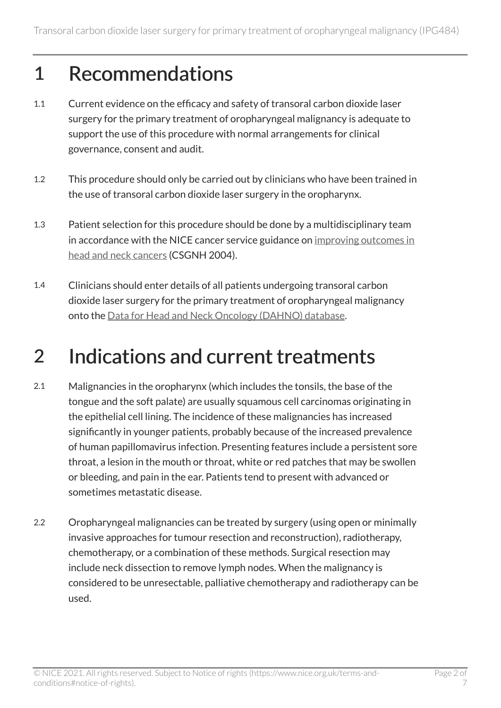#### 1 Recommendations

- 1.1 Current evidence on the efficacy and safety of transoral carbon dioxide laser surgery for the primary treatment of oropharyngeal malignancy is adequate to support the use of this procedure with normal arrangements for clinical governance, consent and audit.
- 1.2 This procedure should only be carried out by clinicians who have been trained in the use of transoral carbon dioxide laser surgery in the oropharynx.
- 1.3 Patient selection for this procedure should be done by a multidisciplinary team in accordance with the NICE cancer service guidance on [improving outcomes in](http://www.nice.org.uk/guidance/csghn)  [head and neck cancers](http://www.nice.org.uk/guidance/csghn) (CSGNH 2004).
- 1.4 Clinicians should enter details of all patients undergoing transoral carbon dioxide laser surgery for the primary treatment of oropharyngeal malignancy onto the [Data for Head and Neck Oncology \(DAHNO\) database.](http://www.hscic.gov.uk/headandneck)

### 2 Indications and current treatments

- 2.1 Malignancies in the oropharynx (which includes the tonsils, the base of the tongue and the soft palate) are usually squamous cell carcinomas originating in the epithelial cell lining. The incidence of these malignancies has increased significantly in younger patients, probably because of the increased prevalence of human papillomavirus infection. Presenting features include a persistent sore throat, a lesion in the mouth or throat, white or red patches that may be swollen or bleeding, and pain in the ear. Patients tend to present with advanced or sometimes metastatic disease.
- 2.2 Oropharyngeal malignancies can be treated by surgery (using open or minimally invasive approaches for tumour resection and reconstruction), radiotherapy, chemotherapy, or a combination of these methods. Surgical resection may include neck dissection to remove lymph nodes. When the malignancy is considered to be unresectable, palliative chemotherapy and radiotherapy can be used.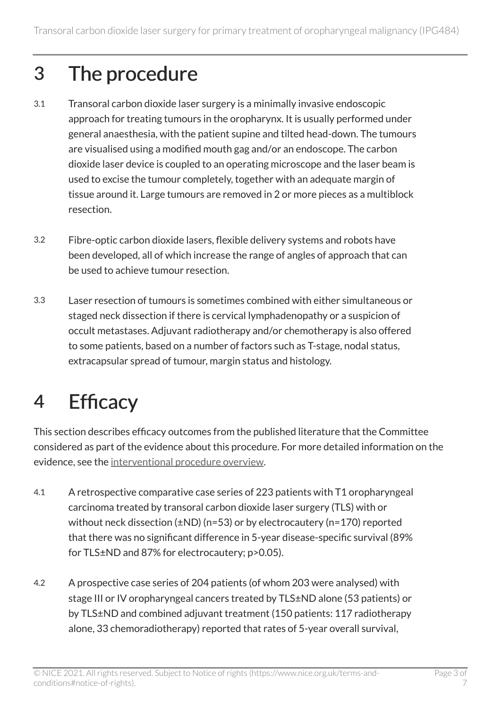## 3 The procedure

- 3.1 Transoral carbon dioxide laser surgery is a minimally invasive endoscopic approach for treating tumours in the oropharynx. It is usually performed under general anaesthesia, with the patient supine and tilted head-down. The tumours are visualised using a modified mouth gag and/or an endoscope. The carbon dioxide laser device is coupled to an operating microscope and the laser beam is used to excise the tumour completely, together with an adequate margin of tissue around it. Large tumours are removed in 2 or more pieces as a multiblock resection.
- 3.2 Fibre-optic carbon dioxide lasers, flexible delivery systems and robots have been developed, all of which increase the range of angles of approach that can be used to achieve tumour resection.
- 3.3 Laser resection of tumours is sometimes combined with either simultaneous or staged neck dissection if there is cervical lymphadenopathy or a suspicion of occult metastases. Adjuvant radiotherapy and/or chemotherapy is also offered to some patients, based on a number of factors such as T-stage, nodal status, extracapsular spread of tumour, margin status and histology.

## 4 Efficacy

This section describes efficacy outcomes from the published literature that the Committee considered as part of the evidence about this procedure. For more detailed information on the evidence, see the [interventional procedure overview](http://www.nice.org.uk/guidance/ipg484).

- 4.1 A retrospective comparative case series of 223 patients with T1 oropharyngeal carcinoma treated by transoral carbon dioxide laser surgery (TLS) with or without neck dissection (±ND) (n=53) or by electrocautery (n=170) reported that there was no significant difference in 5-year disease-specific survival (89% for TLS±ND and 87% for electrocautery; p>0.05).
- 4.2 A prospective case series of 204 patients (of whom 203 were analysed) with stage III or IV oropharyngeal cancers treated by TLS±ND alone (53 patients) or by TLS±ND and combined adjuvant treatment (150 patients: 117 radiotherapy alone, 33 chemoradiotherapy) reported that rates of 5-year overall survival,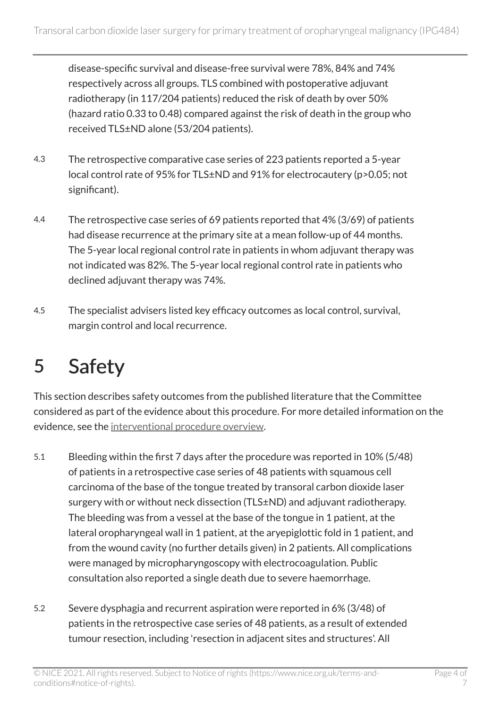disease-specific survival and disease-free survival were 78%, 84% and 74% respectively across all groups. TLS combined with postoperative adjuvant radiotherapy (in 117/204 patients) reduced the risk of death by over 50% (hazard ratio 0.33 to 0.48) compared against the risk of death in the group who received TLS±ND alone (53/204 patients).

- 4.3 The retrospective comparative case series of 223 patients reported a 5-year local control rate of 95% for TLS±ND and 91% for electrocautery (p>0.05; not significant).
- 4.4 The retrospective case series of 69 patients reported that 4% (3/69) of patients had disease recurrence at the primary site at a mean follow-up of 44 months. The 5-year local regional control rate in patients in whom adjuvant therapy was not indicated was 82%. The 5-year local regional control rate in patients who declined adjuvant therapy was 74%.
- 4.5 The specialist advisers listed key efficacy outcomes as local control, survival, margin control and local recurrence.

### 5 Safety

This section describes safety outcomes from the published literature that the Committee considered as part of the evidence about this procedure. For more detailed information on the evidence, see the [interventional procedure overview](http://www.nice.org.uk/guidance/ipg484).

- 5.1 Bleeding within the first 7 days after the procedure was reported in 10% (5/48) of patients in a retrospective case series of 48 patients with squamous cell carcinoma of the base of the tongue treated by transoral carbon dioxide laser surgery with or without neck dissection (TLS±ND) and adjuvant radiotherapy. The bleeding was from a vessel at the base of the tongue in 1 patient, at the lateral oropharyngeal wall in 1 patient, at the aryepiglottic fold in 1 patient, and from the wound cavity (no further details given) in 2 patients. All complications were managed by micropharyngoscopy with electrocoagulation. Public consultation also reported a single death due to severe haemorrhage.
- 5.2 Severe dysphagia and recurrent aspiration were reported in 6% (3/48) of patients in the retrospective case series of 48 patients, as a result of extended tumour resection, including 'resection in adjacent sites and structures'. All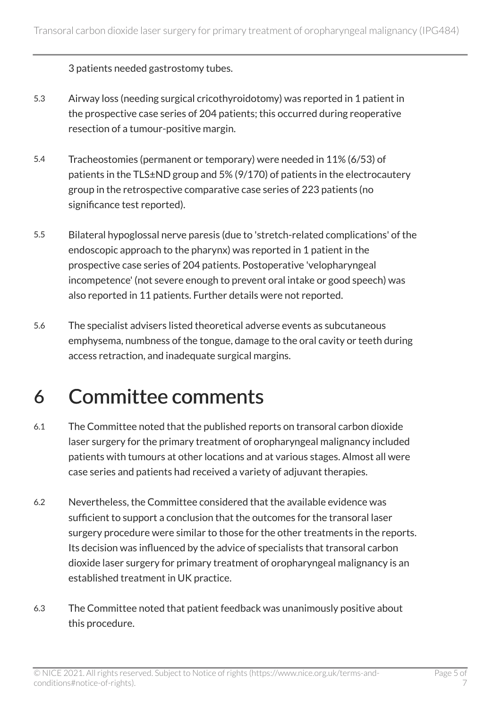3 patients needed gastrostomy tubes.

- 5.3 Airway loss (needing surgical cricothyroidotomy) was reported in 1 patient in the prospective case series of 204 patients; this occurred during reoperative resection of a tumour-positive margin.
- 5.4 Tracheostomies (permanent or temporary) were needed in 11% (6/53) of patients in the TLS±ND group and 5% (9/170) of patients in the electrocautery group in the retrospective comparative case series of 223 patients (no significance test reported).
- 5.5 Bilateral hypoglossal nerve paresis (due to 'stretch-related complications' of the endoscopic approach to the pharynx) was reported in 1 patient in the prospective case series of 204 patients. Postoperative 'velopharyngeal incompetence' (not severe enough to prevent oral intake or good speech) was also reported in 11 patients. Further details were not reported.
- 5.6 The specialist advisers listed theoretical adverse events as subcutaneous emphysema, numbness of the tongue, damage to the oral cavity or teeth during access retraction, and inadequate surgical margins.

### 6 Committee comments

- 6.1 The Committee noted that the published reports on transoral carbon dioxide laser surgery for the primary treatment of oropharyngeal malignancy included patients with tumours at other locations and at various stages. Almost all were case series and patients had received a variety of adjuvant therapies.
- 6.2 Nevertheless, the Committee considered that the available evidence was sufficient to support a conclusion that the outcomes for the transoral laser surgery procedure were similar to those for the other treatments in the reports. Its decision was influenced by the advice of specialists that transoral carbon dioxide laser surgery for primary treatment of oropharyngeal malignancy is an established treatment in UK practice.
- 6.3 The Committee noted that patient feedback was unanimously positive about this procedure.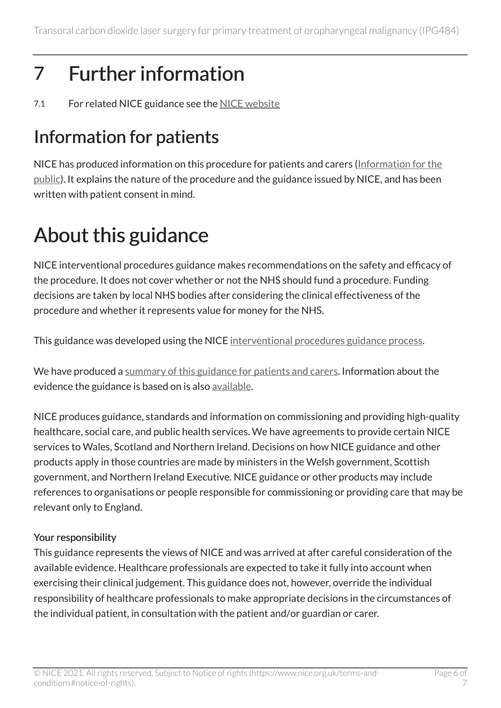## 7 Further information

7.1 For related NICE guidance see the NICE website

#### Information for patients

NICE has produced information on this procedure for patients and carers [\(Information for the](http://www.nice.org.uk/guidance/ipg484)  [public\)](http://www.nice.org.uk/guidance/ipg484). It explains the nature of the procedure and the guidance issued by NICE, and has been written with patient consent in mind.

## About this guidance

NICE interventional procedures guidance makes recommendations on the safety and efficacy of the procedure. It does not cover whether or not the NHS should fund a procedure. Funding decisions are taken by local NHS bodies after considering the clinical effectiveness of the procedure and whether it represents value for money for the NHS.

This guidance was developed using the NICE [interventional procedures guidance process](http://www.nice.org.uk/about/what-we-do/our-programmes/nice-guidance/nice-interventional-procedures-guidance).

We have produced a [summary of this guidance for patients and carers.](http://www.nice.org.uk/guidance/ipg484/informationforpublic) Information about the evidence the guidance is based on is also [available](http://www.nice.org.uk/guidance/ipg484).

NICE produces guidance, standards and information on commissioning and providing high-quality healthcare, social care, and public health services. We have agreements to provide certain NICE services to Wales, Scotland and Northern Ireland. Decisions on how NICE guidance and other products apply in those countries are made by ministers in the Welsh government, Scottish government, and Northern Ireland Executive. NICE guidance or other products may include references to organisations or people responsible for commissioning or providing care that may be relevant only to England.

#### Your responsibility

This guidance represents the views of NICE and was arrived at after careful consideration of the available evidence. Healthcare professionals are expected to take it fully into account when exercising their clinical judgement. This guidance does not, however, override the individual responsibility of healthcare professionals to make appropriate decisions in the circumstances of the individual patient, in consultation with the patient and/or guardian or carer.